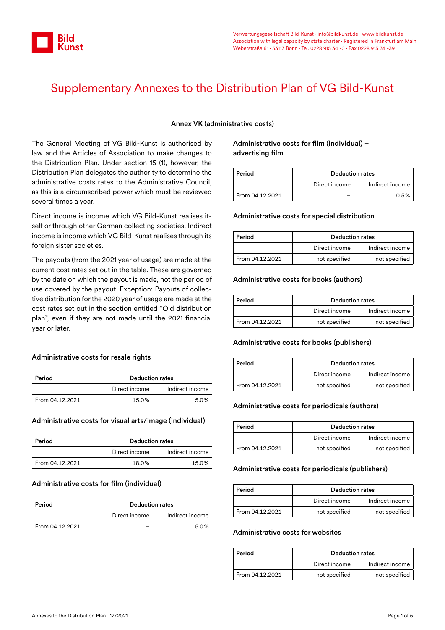

# Supplementary Annexes to the Distribution Plan of VG Bild-Kunst

#### Annex VK (administrative costs)

The General Meeting of VG Bild-Kunst is authorised by law and the Articles of Association to make changes to the Distribution Plan. Under section 15 (1), however, the Distribution Plan delegates the authority to determine the administrative costs rates to the Administrative Council, as this is a circumscribed power which must be reviewed several times a year.

Direct income is income which VG Bild-Kunst realises itself or through other German collecting societies. Indirect income is income which VG Bild-Kunst realises through its foreign sister societies.

The payouts (from the 2021 year of usage) are made at the current cost rates set out in the table. These are governed by the date on which the payout is made, not the period of use covered by the payout. Exception: Payouts of collective distribution for the 2020 year of usage are made at the cost rates set out in the section entitled "Old distribution plan", even if they are not made until the 2021 financial year or later.

#### Administrative costs for resale rights

| Period          | <b>Deduction rates</b> |                 |
|-----------------|------------------------|-----------------|
|                 | Direct income          | Indirect income |
| From 04.12.2021 | 15.0%                  | 5.0%            |

#### Administrative costs for visual arts/image (individual)

| Period          | <b>Deduction rates</b> |                 |
|-----------------|------------------------|-----------------|
|                 | Direct income          | Indirect income |
| From 04.12.2021 | 18.0%                  | 15.0%           |

#### Administrative costs for film (individual)

| Period          | <b>Deduction rates</b> |                 |
|-----------------|------------------------|-----------------|
|                 | Direct income          | Indirect income |
| From 04.12.2021 |                        | 50%             |

#### Administrative costs for film (individual) – advertising film

| Period          | <b>Deduction rates</b> |                 |
|-----------------|------------------------|-----------------|
|                 | Direct income          | Indirect income |
| From 04.12.2021 |                        | 0.5%            |

#### Administrative costs for special distribution

| Period          | <b>Deduction rates</b> |                 |
|-----------------|------------------------|-----------------|
|                 | Direct income          | Indirect income |
| From 04.12.2021 | not specified          | not specified   |

#### Administrative costs for books (authors)

| Period          | <b>Deduction rates</b> |                 |
|-----------------|------------------------|-----------------|
|                 | Direct income          | Indirect income |
| From 04.12.2021 | not specified          | not specified   |

#### Administrative costs for books (publishers)

| Period          | <b>Deduction rates</b> |                 |
|-----------------|------------------------|-----------------|
|                 | Direct income          | Indirect income |
| From 04.12.2021 | not specified          | not specified   |

#### Administrative costs for periodicals (authors)

| Period          | <b>Deduction rates</b> |                 |
|-----------------|------------------------|-----------------|
|                 | Direct income          | Indirect income |
| From 04.12.2021 | not specified          | not specified   |

#### Administrative costs for periodicals (publishers)

| Period          | <b>Deduction rates</b> |                 |
|-----------------|------------------------|-----------------|
|                 | Direct income          | Indirect income |
| From 04.12.2021 | not specified          | not specified   |

#### Administrative costs for websites

| Period          | <b>Deduction rates</b> |                 |
|-----------------|------------------------|-----------------|
|                 | Direct income          | Indirect income |
| From 04.12.2021 | not specified          | not specified   |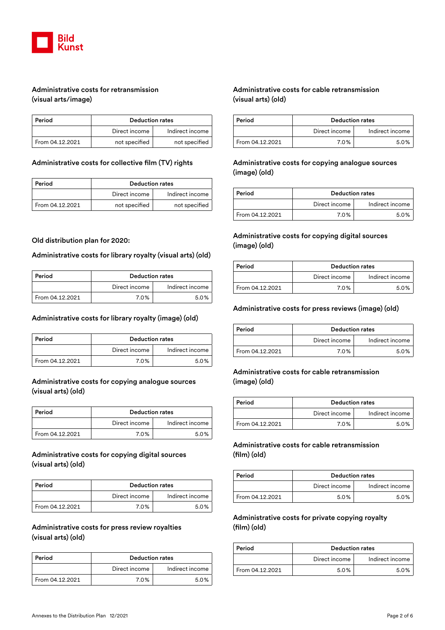

# Administrative costs for retransmission (visual arts/image)

| Period          | <b>Deduction rates</b> |                 |
|-----------------|------------------------|-----------------|
|                 | Direct income          | Indirect income |
| From 04.12.2021 | not specified          | not specified   |

#### Administrative costs for collective film (TV) rights

| Period          | <b>Deduction rates</b> |                 |
|-----------------|------------------------|-----------------|
|                 | Direct income          | Indirect income |
| From 04.12.2021 | not specified          | not specified   |

#### Old distribution plan for 2020:

#### Administrative costs for library royalty (visual arts) (old)

| Period          | <b>Deduction rates</b> |                 |
|-----------------|------------------------|-----------------|
|                 | Direct income          | Indirect income |
| From 04.12.2021 | 7.0%                   | 5.0%            |

#### Administrative costs for library royalty (image) (old)

| Period          | <b>Deduction rates</b> |                 |
|-----------------|------------------------|-----------------|
|                 | Direct income          | Indirect income |
| From 04.12.2021 | 7.0%                   | 5.0%            |

#### Administrative costs for copying analogue sources (visual arts) (old)

| Period          | <b>Deduction rates</b> |                 |
|-----------------|------------------------|-----------------|
|                 | Direct income          | Indirect income |
| From 04.12.2021 | 7.0%                   | 5.0%            |

# Administrative costs for copying digital sources (visual arts) (old)

| Period          | <b>Deduction rates</b> |                 |
|-----------------|------------------------|-----------------|
|                 | Direct income          | Indirect income |
| From 04.12.2021 | 7.0%                   | 5.0%            |

#### Administrative costs for press review royalties (visual arts) (old)

| Period          | <b>Deduction rates</b> |                 |
|-----------------|------------------------|-----------------|
|                 | Direct income          | Indirect income |
| From 04.12.2021 | 7.0%                   | 5.0%            |

# Administrative costs for cable retransmission (visual arts) (old)

| Period          | <b>Deduction rates</b> |                 |
|-----------------|------------------------|-----------------|
|                 | Direct income          | Indirect income |
| From 04.12.2021 | 7.0%                   | 5.0%            |

# Administrative costs for copying analogue sources (image) (old)

| Period          | <b>Deduction rates</b> |                 |
|-----------------|------------------------|-----------------|
|                 | Direct income          | Indirect income |
| From 04.12.2021 | 7.0%                   | 5.0%            |

## Administrative costs for copying digital sources (image) (old)

| Period          | <b>Deduction rates</b> |                 |
|-----------------|------------------------|-----------------|
|                 | Direct income          | Indirect income |
| From 04.12.2021 | 7.0%                   | 5.0%            |

#### Administrative costs for press reviews (image) (old)

| Period          | <b>Deduction rates</b> |                 |
|-----------------|------------------------|-----------------|
|                 | Direct income          | Indirect income |
| From 04.12.2021 | 7.0%                   | 5.0%            |

## Administrative costs for cable retransmission (image) (old)

| Period          | <b>Deduction rates</b> |                 |
|-----------------|------------------------|-----------------|
|                 | Direct income          | Indirect income |
| From 04.12.2021 | 7.0%                   | 50%             |

## Administrative costs for cable retransmission (film) (old)

| Period          | <b>Deduction rates</b> |                 |
|-----------------|------------------------|-----------------|
|                 | Direct income          | Indirect income |
| From 04.12.2021 | 5.0%                   | 50%             |

## Administrative costs for private copying royalty (film) (old)

| Period          | <b>Deduction rates</b> |                 |
|-----------------|------------------------|-----------------|
|                 | Direct income          | Indirect income |
| From 04.12.2021 | 5.0%                   | 50%             |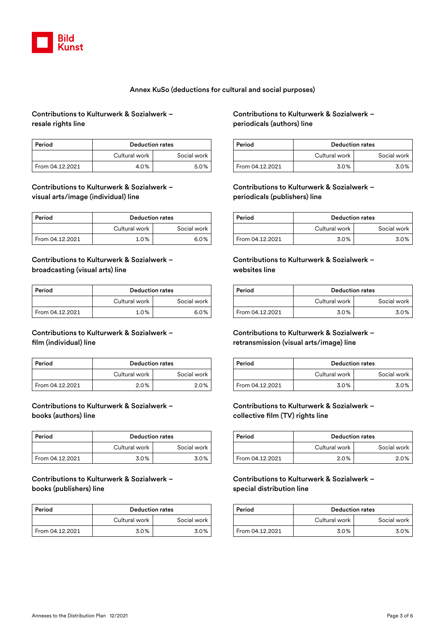

#### Annex KuSo (deductions for cultural and social purposes)

# Contributions to Kulturwerk & Sozialwerk – resale rights line

| Period          | <b>Deduction rates</b> |             |
|-----------------|------------------------|-------------|
|                 | Cultural work          | Social work |
| From 04.12.2021 | 4.0%                   | 5.0%        |

#### Contributions to Kulturwerk & Sozialwerk – visual arts/image (individual) line

| Period          | <b>Deduction rates</b> |             |
|-----------------|------------------------|-------------|
|                 | Cultural work          | Social work |
| From 04.12.2021 | 1.0%                   | 6.0%        |

# Contributions to Kulturwerk & Sozialwerk – broadcasting (visual arts) line

| Period          | <b>Deduction rates</b> |             |
|-----------------|------------------------|-------------|
|                 | Cultural work          | Social work |
| From 04.12.2021 | 1.0%                   | 6.0%        |

## Contributions to Kulturwerk & Sozialwerk – film (individual) line

| Period          | <b>Deduction rates</b> |             |
|-----------------|------------------------|-------------|
|                 | Cultural work          | Social work |
| From 04.12.2021 | 2.0%                   | 2.0%        |

# Contributions to Kulturwerk & Sozialwerk – books (authors) line

| Period          | <b>Deduction rates</b> |             |
|-----------------|------------------------|-------------|
|                 | Cultural work          | Social work |
| From 04.12.2021 | 3.0%                   | 3.0%        |

## Contributions to Kulturwerk & Sozialwerk – books (publishers) line

| Period          | <b>Deduction rates</b> |             |
|-----------------|------------------------|-------------|
|                 | Cultural work          | Social work |
| From 04.12.2021 | 3.0%                   | 3.0%        |

# Contributions to Kulturwerk & Sozialwerk – periodicals (authors) line

| Period          | <b>Deduction rates</b> |             |
|-----------------|------------------------|-------------|
|                 | Cultural work          | Social work |
| From 04.12.2021 | 3.0%                   | 3.0%        |

#### Contributions to Kulturwerk & Sozialwerk – periodicals (publishers) line

| Period          | <b>Deduction rates</b> |             |
|-----------------|------------------------|-------------|
|                 | Cultural work          | Social work |
| From 04.12.2021 | 3.0%                   | 3.0%        |

#### Contributions to Kulturwerk & Sozialwerk – websites line

| Period          | <b>Deduction rates</b> |             |
|-----------------|------------------------|-------------|
|                 | Cultural work          | Social work |
| From 04.12.2021 | 3.0%                   | 3.0%        |

# Contributions to Kulturwerk & Sozialwerk – retransmission (visual arts/image) line

| Period          | <b>Deduction rates</b> |             |
|-----------------|------------------------|-------------|
|                 | Cultural work          | Social work |
| From 04.12.2021 | 3.0%                   | 3.0%        |

## Contributions to Kulturwerk & Sozialwerk – collective film (TV) rights line

| Period          | <b>Deduction rates</b> |             |
|-----------------|------------------------|-------------|
|                 | Cultural work          | Social work |
| From 04.12.2021 | 2.0%                   | 2.0%        |

#### Contributions to Kulturwerk & Sozialwerk – special distribution line

| Period          | <b>Deduction rates</b> |             |
|-----------------|------------------------|-------------|
|                 | Cultural work          | Social work |
| From 04.12.2021 | 3.0%                   | 3.0%        |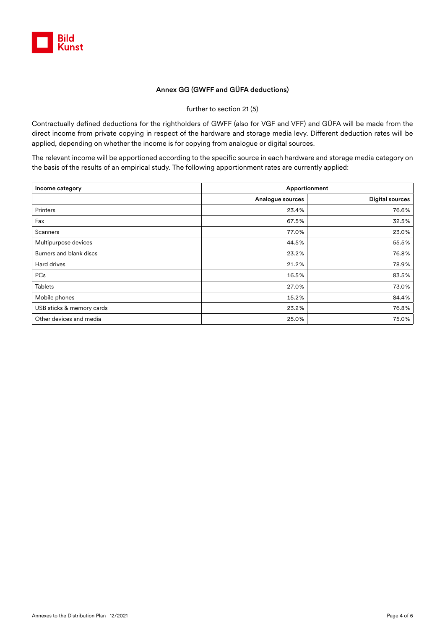

## Annex GG (GWFF and GÜFA deductions)

further to section 21 (5)

Contractually defined deductions for the rightholders of GWFF (also for VGF and VFF) and GÜFA will be made from the direct income from private copying in respect of the hardware and storage media levy. Different deduction rates will be applied, depending on whether the income is for copying from analogue or digital sources.

The relevant income will be apportioned according to the specific source in each hardware and storage media category on the basis of the results of an empirical study. The following apportionment rates are currently applied:

| Income category           | Apportionment    |                        |  |
|---------------------------|------------------|------------------------|--|
|                           | Analogue sources | <b>Digital sources</b> |  |
| Printers                  | 23.4%            | 76.6%                  |  |
| Fax                       | 67.5%            | 32.5%                  |  |
| Scanners                  | 77.0%            | 23.0%                  |  |
| Multipurpose devices      | 44.5%            | 55.5%                  |  |
| Burners and blank discs   | 23.2%            | 76.8%                  |  |
| Hard drives               | 21.2%            | 78.9%                  |  |
| PCs                       | 16.5%            | 83.5%                  |  |
| <b>Tablets</b>            | 27.0%            | 73.0%                  |  |
| Mobile phones             | 15.2%            | 84.4%                  |  |
| USB sticks & memory cards | 23.2%            | 76.8%                  |  |
| Other devices and media   | 25.0%            | 75.0%                  |  |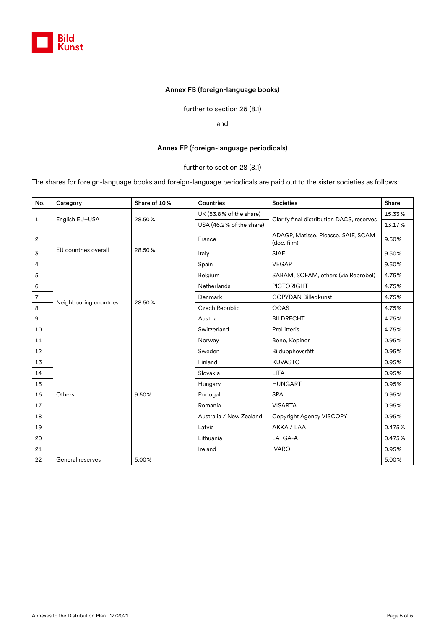

#### Annex FB (foreign-language books)

further to section 26 (8.1)

and

#### Annex FP (foreign-language periodicals)

#### further to section 28 (8.1)

The shares for foreign-language books and foreign-language periodicals are paid out to the sister societies as follows:

| No.            | Category               | Share of 10% | Countries                | <b>Societies</b>                                   | Share  |
|----------------|------------------------|--------------|--------------------------|----------------------------------------------------|--------|
| $\mathbf{1}$   | English EU-USA         | 28.50%       | UK (53.8% of the share)  | Clarify final distribution DACS, reserves          | 15.33% |
|                |                        |              | USA (46.2% of the share) |                                                    | 13.17% |
| $\overline{2}$ | EU countries overall   | 28.50%       | France                   | ADAGP, Matisse, Picasso, SAIF, SCAM<br>(doc. film) | 9.50%  |
| $\overline{3}$ |                        |              | Italy                    | <b>SIAE</b>                                        | 9.50%  |
| $\overline{4}$ |                        |              | Spain                    | <b>VEGAP</b>                                       | 9.50%  |
| 5              | Neighbouring countries | 28.50%       | Belgium                  | SABAM, SOFAM, others (via Reprobel)                | 4.75%  |
| $\,$ 6         |                        |              | Netherlands              | <b>PICTORIGHT</b>                                  | 4.75%  |
| $\overline{7}$ |                        |              | Denmark                  | <b>COPYDAN Billedkunst</b>                         | 4.75%  |
| 8              |                        |              | Czech Republic           | <b>OOAS</b>                                        | 4.75%  |
| 9              |                        |              | Austria                  | <b>BILDRECHT</b>                                   | 4.75%  |
| 10             |                        |              | Switzerland              | ProLitteris                                        | 4.75%  |
| 11             |                        |              | Norway                   | Bono, Kopinor                                      | 0.95%  |
| 12             |                        |              | Sweden                   | Bildupphovsrätt                                    | 0.95%  |
| 13             |                        |              | Finland                  | <b>KUVASTO</b>                                     | 0.95%  |
| 14             |                        |              | Slovakia                 | <b>LITA</b>                                        | 0.95%  |
| 15             |                        |              | Hungary                  | <b>HUNGART</b>                                     | 0.95%  |
| 16             | Others                 | 9.50%        | Portugal                 | <b>SPA</b>                                         | 0.95%  |
| 17             |                        |              | Romania                  | <b>VISARTA</b>                                     | 0.95%  |
| 18             |                        |              | Australia / New Zealand  | Copyright Agency VISCOPY                           | 0.95%  |
| 19             |                        |              | Latvia                   | AKKA / LAA                                         | 0.475% |
| 20             |                        |              | Lithuania                | LATGA-A                                            | 0.475% |
| 21             |                        |              | Ireland                  | <b>IVARO</b>                                       | 0.95%  |
| 22             | General reserves       | 5.00%        |                          |                                                    | 5.00%  |